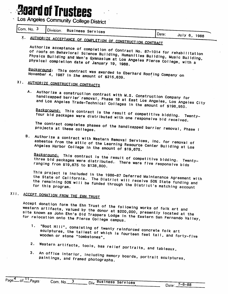# **Board of Trustees**

**Los Angeles Community College District** 

| Com. No. 3 |  |                                   |         |              |  |
|------------|--|-----------------------------------|---------|--------------|--|
|            |  | <b>Solution Business Services</b> |         |              |  |
|            |  |                                   | i Date: | 1111.72 1222 |  |

X. AUTHORIZE ACCEPTANCE OF COMPLETION OF CONSTRUCTION CONTRACT<br>Authorize acceptance of completion of Contract No. 87-1014 for rehabilitation Physics Building and Men's Gymnasium at Los Angeles Building, Music Building, Physics Building and Men's Gymnasium at Los Angeles Pierce College, with a physical completion date of January 19, 1988. Physics Building and Men's Gymnasium at Los Angeles Pierce College, with a

Background: This contract was awarded to Eberhard Roofing Company on<br>November 4, 1987 In the amount of \$215.639

## XI. AUTHORIZE CONSTRUCTION CONTRACTS

A. Authorize a construction contract with M.S. Construction Company for handicapped barrier removal, Phase 1B at East Los Angeles, Los Angeles City<br>and Los Angeles Trade-Technical Colleges in the amount of \$198,950.

Background: This contract is the result of competitive bidding. Twenty-<br>four bid packages were distributed with one responsive bid received.

projects at these colleges.<br>B. Authorize a contract with Western Removal Services, inc. for removal of asbestos from the attic of the Learning Resource Center Bullding at Los<br>Angeles Harbor College in the amount of \$19.675.

Background: This contract Is the result of competitive bidding. Twenty-<br>three bid packages were distributed. There were five responsive bids<br>ranging from \$19,675 to \$138.800.

This project is included in the 1986 or the state of California. The District will alintenance Agreement with the State of California. The District will receive 50% State funding and the remaining 50% will be funded through the District's matching account

# XII. ACCEPT DONATION FROM THE EHN TRUST

Accept donation form the Ehn Trust of the following works of folk art and<br>western artifacts, valued by the donor at \$200,000, presently located at the<br>site known as John Ehn's Old Trappers Lodge in the Eastern San Fernando

- 1. "Boot Hill", consisting of twenty reinforced concrete folk art sculptures, the tallest of which is fourteen feet tall, and forty-five<br>wooden or stone "tombstones"
- 2. western artifacts, tools, bas relief portraits, and tableaux,
- 3. An office interior, including memory boards, portrait sculptures, paintings, and framed photographs.